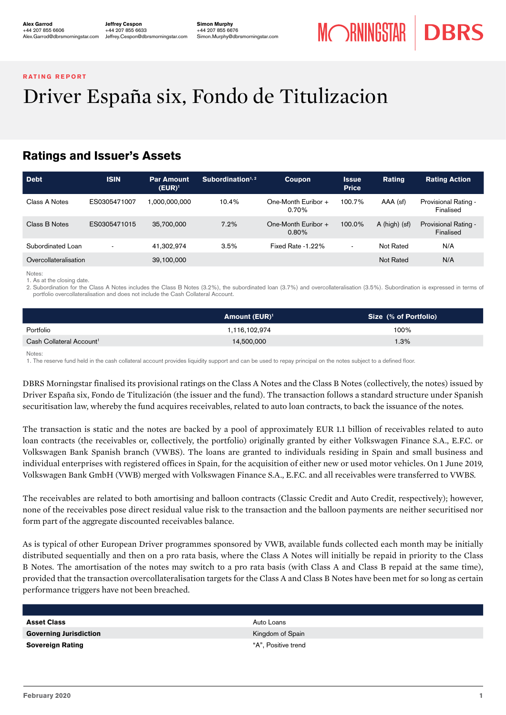#### <span id="page-0-0"></span>RATING REPORT

# Driver España six, Fondo de Titulizacion

# Ratings and Issuer's Assets

| <b>Debt</b>           | <b>ISIN</b>              | <b>Par Amount</b><br>$(\mathsf{EUR})^1$ | Subordination $1, 2$ | Coupon                          | <b>Issue</b><br><b>Price</b> | Rating          | <b>Rating Action</b>              |
|-----------------------|--------------------------|-----------------------------------------|----------------------|---------------------------------|------------------------------|-----------------|-----------------------------------|
| Class A Notes         | ES0305471007             | 000,000,000,                            | 10.4%                | One-Month Euribor +<br>0.70%    | 100.7%                       | AAA (sf)        | Provisional Rating -<br>Finalised |
| Class B Notes         | ES0305471015             | 35,700,000                              | 7.2%                 | One-Month Euribor +<br>$0.80\%$ | 100.0%                       | $A$ (high) (sf) | Provisional Rating -<br>Finalised |
| Subordinated Loan     | $\overline{\phantom{a}}$ | 41.302.974                              | 3.5%                 | Fixed Rate -1.22%               | $\overline{\phantom{a}}$     | Not Rated       | N/A                               |
| Overcollateralisation |                          | 39,100,000                              |                      |                                 |                              | Not Rated       | N/A                               |

Notes:

1. As at the closing date.

2. Subordination for the Class A Notes includes the Class B Notes (3.2%), the subordinated loan (3.7%) and overcollateralisation (3.5%). Subordination is expressed in terms of portfolio overcollateralisation and does not include the Cash Collateral Account.

|                                      | Amount $(EUR)^1$ | Size (% of Portfolio) |
|--------------------------------------|------------------|-----------------------|
| Portfolio                            | 1.116.102.974    | 100%                  |
| Cash Collateral Account <sup>1</sup> | 14,500,000       | 1.3%                  |

Notes:

1. The reserve fund held in the cash collateral account provides liquidity support and can be used to repay principal on the notes subject to a defined floor.

DBRS Morningstar finalised its provisional ratings on the Class A Notes and the Class B Notes (collectively, the notes) issued by Driver España six, Fondo de Titulización (the issuer and the fund). The transaction follows a standard structure under Spanish securitisation law, whereby the fund acquires receivables, related to auto loan contracts, to back the issuance of the notes.

The transaction is static and the notes are backed by a pool of approximately EUR 1.1 billion of receivables related to auto loan contracts (the receivables or, collectively, the portfolio) originally granted by either Volkswagen Finance S.A., E.F.C. or Volkswagen Bank Spanish branch (VWBS). The loans are granted to individuals residing in Spain and small business and individual enterprises with registered offices in Spain, for the acquisition of either new or used motor vehicles. On 1 June 2019, Volkswagen Bank GmbH (VWB) merged with Volkswagen Finance S.A., E.F.C. and all receivables were transferred to VWBS.

The receivables are related to both amortising and balloon contracts (Classic Credit and Auto Credit, respectively); however, none of the receivables pose direct residual value risk to the transaction and the balloon payments are neither securitised nor form part of the aggregate discounted receivables balance.

As is typical of other European Driver programmes sponsored by VWB, available funds collected each month may be initially distributed sequentially and then on a pro rata basis, where the Class A Notes will initially be repaid in priority to the Class B Notes. The amortisation of the notes may switch to a pro rata basis (with Class A and Class B repaid at the same time), provided that the transaction overcollateralisation targets for the Class A and Class B Notes have been met for so long as certain performance triggers have not been breached.

| <b>Asset Class</b>            | Auto Loans          |
|-------------------------------|---------------------|
| <b>Governing Jurisdiction</b> | Kingdom of Spain    |
| <b>Sovereign Rating</b>       | "A", Positive trend |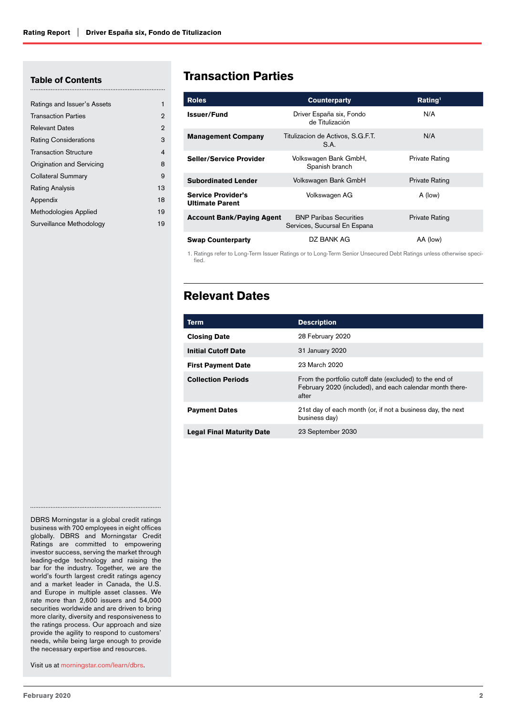#### Table of Contents

| Ratings and Issuer's Assets  | 1              |
|------------------------------|----------------|
| <b>Transaction Parties</b>   | $\overline{2}$ |
| <b>Relevant Dates</b>        | $\overline{2}$ |
| <b>Rating Considerations</b> | 3              |
| <b>Transaction Structure</b> | 4              |
| Origination and Servicing    | 8              |
| Collateral Summary           | 9              |
| Rating Analysis              | 13             |
| Appendix                     | 18             |
| Methodologies Applied        | 19             |
| Surveillance Methodology     | 19             |
|                              |                |

# Transaction Parties

| <b>Roles</b>                                        | <b>Counterparty</b>                                           | Rating <sup>1</sup>   |
|-----------------------------------------------------|---------------------------------------------------------------|-----------------------|
| <b>Issuer/Fund</b>                                  | Driver España six, Fondo<br>de Titulización                   | N/A                   |
| <b>Management Company</b>                           | Titulizacion de Activos, S.G.F.T.<br>S.A.                     | N/A                   |
| <b>Seller/Service Provider</b>                      | Volkswagen Bank GmbH,<br>Spanish branch                       | Private Rating        |
| <b>Subordinated Lender</b>                          | Volkswagen Bank GmbH                                          | <b>Private Rating</b> |
| <b>Service Provider's</b><br><b>Ultimate Parent</b> | Volkswagen AG                                                 | A (low)               |
| <b>Account Bank/Paying Agent</b>                    | <b>BNP Paribas Securities</b><br>Services, Sucursal En Espana | Private Rating        |
| <b>Swap Counterparty</b>                            | DZ BANK AG                                                    | AA (low)              |

1. Ratings refer to Long-Term Issuer Ratings or to Long-Term Senior Unsecured Debt Ratings unless otherwise specified.

# Relevant Dates

| Term                             | <b>Description</b>                                                                                                           |
|----------------------------------|------------------------------------------------------------------------------------------------------------------------------|
| <b>Closing Date</b>              | 28 February 2020                                                                                                             |
| <b>Initial Cutoff Date</b>       | 31 January 2020                                                                                                              |
| <b>First Payment Date</b>        | 23 March 2020                                                                                                                |
| <b>Collection Periods</b>        | From the portfolio cutoff date (excluded) to the end of<br>February 2020 (included), and each calendar month there-<br>after |
| <b>Payment Dates</b>             | 21st day of each month (or, if not a business day, the next<br>business day)                                                 |
| <b>Legal Final Maturity Date</b> | 23 September 2030                                                                                                            |

DBRS Morningstar is a global credit ratings business with 700 employees in eight offices globally. DBRS and Morningstar Credit Ratings are committed to empowering investor success, serving the market through leading-edge technology and raising the bar for the industry. Together, we are the world's fourth largest credit ratings agency and a market leader in Canada, the U.S. and Europe in multiple asset classes. We rate more than 2,600 issuers and 54,000 securities worldwide and are driven to bring more clarity, diversity and responsiveness to the ratings process. Our approach and size provide the agility to respond to customers' needs, while being large enough to provide the necessary expertise and resources.

Visit us at morningstar.com/learn/dbrs.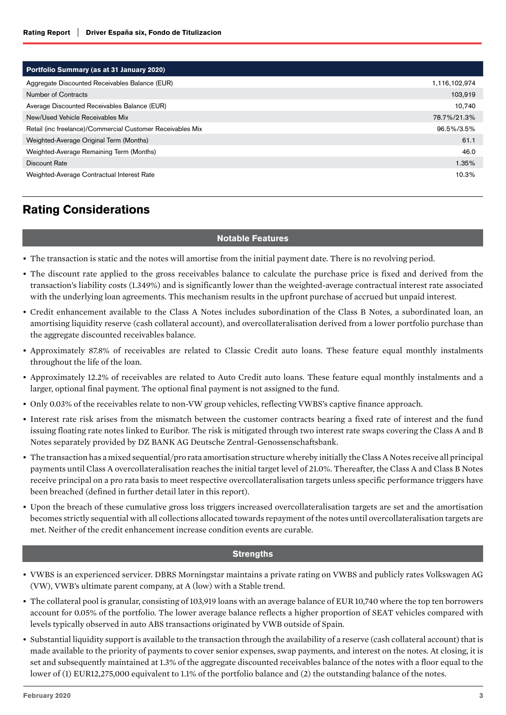<span id="page-2-0"></span>

| Portfolio Summary (as at 31 January 2020)                  |               |
|------------------------------------------------------------|---------------|
| Aggregate Discounted Receivables Balance (EUR)             | 1,116,102,974 |
| Number of Contracts                                        | 103,919       |
| Average Discounted Receivables Balance (EUR)               | 10,740        |
| New/Used Vehicle Receivables Mix                           | 78.7%/21.3%   |
| Retail (inc freelance)/Commercial Customer Receivables Mix | 96.5%/3.5%    |
| Weighted-Average Original Term (Months)                    | 61.1          |
| Weighted-Average Remaining Term (Months)                   | 46.0          |
| Discount Rate                                              | 1.35%         |
| Weighted-Average Contractual Interest Rate                 | 10.3%         |

# Rating Considerations

#### Notable Features

- The transaction is static and the notes will amortise from the initial payment date. There is no revolving period.
- The discount rate applied to the gross receivables balance to calculate the purchase price is fixed and derived from the transaction's liability costs (1.349%) and is significantly lower than the weighted-average contractual interest rate associated with the underlying loan agreements. This mechanism results in the upfront purchase of accrued but unpaid interest.
- Credit enhancement available to the Class A Notes includes subordination of the Class B Notes, a subordinated loan, an amortising liquidity reserve (cash collateral account), and overcollateralisation derived from a lower portfolio purchase than the aggregate discounted receivables balance.
- Approximately 87.8% of receivables are related to Classic Credit auto loans. These feature equal monthly instalments throughout the life of the loan.
- Approximately 12.2% of receivables are related to Auto Credit auto loans. These feature equal monthly instalments and a larger, optional final payment. The optional final payment is not assigned to the fund.
- Only 0.03% of the receivables relate to non-VW group vehicles, reflecting VWBS's captive finance approach.
- Interest rate risk arises from the mismatch between the customer contracts bearing a fixed rate of interest and the fund issuing floating rate notes linked to Euribor. The risk is mitigated through two interest rate swaps covering the Class A and B Notes separately provided by DZ BANK AG Deutsche Zentral-Genossenschaftsbank.
- The transaction has a mixed sequential/pro rata amortisation structure whereby initially the Class A Notes receive all principal payments until Class A overcollateralisation reaches the initial target level of 21.0%. Thereafter, the Class A and Class B Notes receive principal on a pro rata basis to meet respective overcollateralisation targets unless specific performance triggers have been breached (defined in further detail later in this report).
- Upon the breach of these cumulative gross loss triggers increased overcollateralisation targets are set and the amortisation becomes strictly sequential with all collections allocated towards repayment of the notes until overcollateralisation targets are met. Neither of the credit enhancement increase condition events are curable.

#### **Strengths**

- VWBS is an experienced servicer. DBRS Morningstar maintains a private rating on VWBS and publicly rates Volkswagen AG (VW), VWB's ultimate parent company, at A (low) with a Stable trend.
- The collateral pool is granular, consisting of 103,919 loans with an average balance of EUR 10,740 where the top ten borrowers account for 0.05% of the portfolio. The lower average balance reflects a higher proportion of SEAT vehicles compared with levels typically observed in auto ABS transactions originated by VWB outside of Spain.
- Substantial liquidity support is available to the transaction through the availability of a reserve (cash collateral account) that is made available to the priority of payments to cover senior expenses, swap payments, and interest on the notes. At closing, it is set and subsequently maintained at 1.3% of the aggregate discounted receivables balance of the notes with a floor equal to the lower of (1) EUR12,275,000 equivalent to 1.1% of the portfolio balance and (2) the outstanding balance of the notes.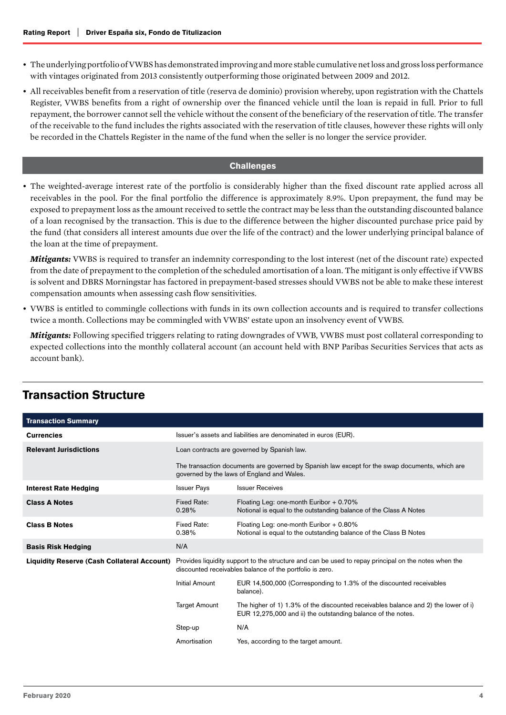- <span id="page-3-0"></span>• The underlying portfolio of VWBS has demonstrated improving and more stable cumulative net loss and gross loss performance with vintages originated from 2013 consistently outperforming those originated between 2009 and 2012.
- All receivables benefit from a reservation of title (reserva de dominio) provision whereby, upon registration with the Chattels Register, VWBS benefits from a right of ownership over the financed vehicle until the loan is repaid in full. Prior to full repayment, the borrower cannot sell the vehicle without the consent of the beneficiary of the reservation of title. The transfer of the receivable to the fund includes the rights associated with the reservation of title clauses, however these rights will only be recorded in the Chattels Register in the name of the fund when the seller is no longer the service provider.

#### **Challenges**

• The weighted-average interest rate of the portfolio is considerably higher than the fixed discount rate applied across all receivables in the pool. For the final portfolio the difference is approximately 8.9%. Upon prepayment, the fund may be exposed to prepayment loss as the amount received to settle the contract may be less than the outstanding discounted balance of a loan recognised by the transaction. This is due to the difference between the higher discounted purchase price paid by the fund (that considers all interest amounts due over the life of the contract) and the lower underlying principal balance of the loan at the time of prepayment.

*Mitigants:* VWBS is required to transfer an indemnity corresponding to the lost interest (net of the discount rate) expected from the date of prepayment to the completion of the scheduled amortisation of a loan. The mitigant is only effective if VWBS is solvent and DBRS Morningstar has factored in prepayment-based stresses should VWBS not be able to make these interest compensation amounts when assessing cash flow sensitivities.

• VWBS is entitled to commingle collections with funds in its own collection accounts and is required to transfer collections twice a month. Collections may be commingled with VWBS' estate upon an insolvency event of VWBS.

*Mitigants:* Following specified triggers relating to rating downgrades of VWB, VWBS must post collateral corresponding to expected collections into the monthly collateral account (an account held with BNP Paribas Securities Services that acts as account bank).

| <b>Transaction Summary</b>                         |                                                                                                                                                                  |                                                                                                                                                    |  |
|----------------------------------------------------|------------------------------------------------------------------------------------------------------------------------------------------------------------------|----------------------------------------------------------------------------------------------------------------------------------------------------|--|
| <b>Currencies</b>                                  | Issuer's assets and liabilities are denominated in euros (EUR).                                                                                                  |                                                                                                                                                    |  |
| <b>Relevant Jurisdictions</b>                      | Loan contracts are governed by Spanish law.                                                                                                                      |                                                                                                                                                    |  |
|                                                    | The transaction documents are governed by Spanish law except for the swap documents, which are<br>governed by the laws of England and Wales.                     |                                                                                                                                                    |  |
| <b>Interest Rate Hedging</b>                       | <b>Issuer Pays</b>                                                                                                                                               | <b>Issuer Receives</b>                                                                                                                             |  |
| <b>Class A Notes</b>                               | Fixed Rate:<br>0.28%                                                                                                                                             | Floating Leg: one-month Euribor $+0.70\%$<br>Notional is equal to the outstanding balance of the Class A Notes                                     |  |
| <b>Class B Notes</b>                               | Fixed Rate:<br>0.38%                                                                                                                                             | Floating Leg: one-month Euribor $+0.80\%$<br>Notional is equal to the outstanding balance of the Class B Notes                                     |  |
| <b>Basis Risk Hedging</b>                          | N/A                                                                                                                                                              |                                                                                                                                                    |  |
| <b>Liquidity Reserve (Cash Collateral Account)</b> | Provides liquidity support to the structure and can be used to repay principal on the notes when the<br>discounted receivables balance of the portfolio is zero. |                                                                                                                                                    |  |
|                                                    | Initial Amount                                                                                                                                                   | EUR 14,500,000 (Corresponding to 1.3% of the discounted receivables<br>balance).                                                                   |  |
|                                                    | <b>Target Amount</b>                                                                                                                                             | The higher of 1) 1.3% of the discounted receivables balance and 2) the lower of i)<br>EUR 12,275,000 and ii) the outstanding balance of the notes. |  |
|                                                    | Step-up                                                                                                                                                          | N/A                                                                                                                                                |  |
|                                                    | Amortisation                                                                                                                                                     | Yes, according to the target amount.                                                                                                               |  |

# Transaction Structure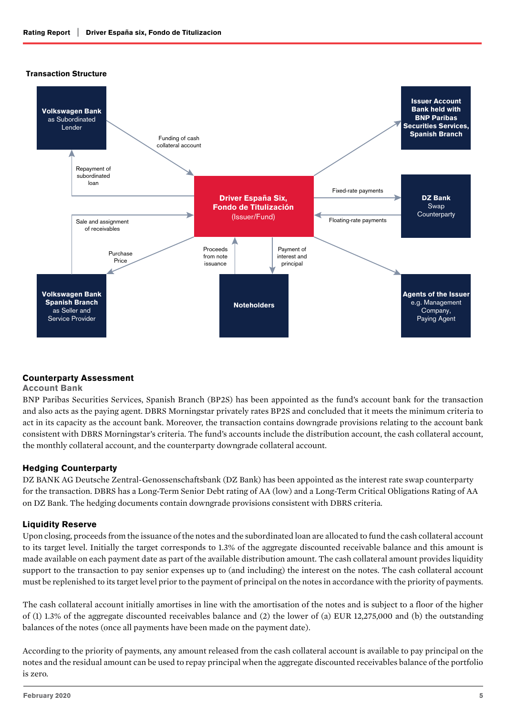

## Counterparty Assessment

#### Account Bank

BNP Paribas Securities Services, Spanish Branch (BP2S) has been appointed as the fund's account bank for the transaction and also acts as the paying agent. DBRS Morningstar privately rates BP2S and concluded that it meets the minimum criteria to act in its capacity as the account bank. Moreover, the transaction contains downgrade provisions relating to the account bank consistent with DBRS Morningstar's criteria. The fund's accounts include the distribution account, the cash collateral account, the monthly collateral account, and the counterparty downgrade collateral account.

## Hedging Counterparty

DZ BANK AG Deutsche Zentral-Genossenschaftsbank (DZ Bank) has been appointed as the interest rate swap counterparty for the transaction. DBRS has a Long-Term Senior Debt rating of AA (low) and a Long-Term Critical Obligations Rating of AA on DZ Bank. The hedging documents contain downgrade provisions consistent with DBRS criteria.

#### Liquidity Reserve

Upon closing, proceeds from the issuance of the notes and the subordinated loan are allocated to fund the cash collateral account to its target level. Initially the target corresponds to 1.3% of the aggregate discounted receivable balance and this amount is made available on each payment date as part of the available distribution amount. The cash collateral amount provides liquidity support to the transaction to pay senior expenses up to (and including) the interest on the notes. The cash collateral account must be replenished to its target level prior to the payment of principal on the notes in accordance with the priority of payments.

The cash collateral account initially amortises in line with the amortisation of the notes and is subject to a floor of the higher of (1) 1.3% of the aggregate discounted receivables balance and (2) the lower of (a) EUR 12,275,000 and (b) the outstanding balances of the notes (once all payments have been made on the payment date).

According to the priority of payments, any amount released from the cash collateral account is available to pay principal on the notes and the residual amount can be used to repay principal when the aggregate discounted receivables balance of the portfolio is zero.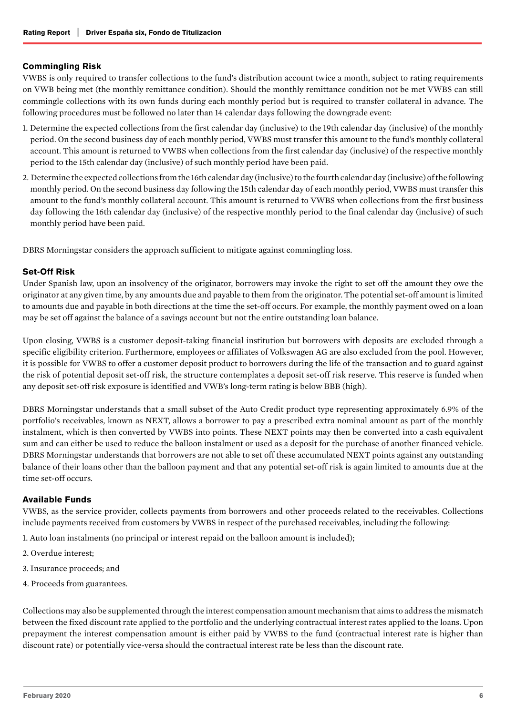## Commingling Risk

VWBS is only required to transfer collections to the fund's distribution account twice a month, subject to rating requirements on VWB being met (the monthly remittance condition). Should the monthly remittance condition not be met VWBS can still commingle collections with its own funds during each monthly period but is required to transfer collateral in advance. The following procedures must be followed no later than 14 calendar days following the downgrade event:

- 1. Determine the expected collections from the first calendar day (inclusive) to the 19th calendar day (inclusive) of the monthly period. On the second business day of each monthly period, VWBS must transfer this amount to the fund's monthly collateral account. This amount is returned to VWBS when collections from the first calendar day (inclusive) of the respective monthly period to the 15th calendar day (inclusive) of such monthly period have been paid.
- 2. Determine the expected collections from the 16th calendar day (inclusive) to the fourth calendar day (inclusive) of the following monthly period. On the second business day following the 15th calendar day of each monthly period, VWBS must transfer this amount to the fund's monthly collateral account. This amount is returned to VWBS when collections from the first business day following the 16th calendar day (inclusive) of the respective monthly period to the final calendar day (inclusive) of such monthly period have been paid.

DBRS Morningstar considers the approach sufficient to mitigate against commingling loss.

## Set-Off Risk

Under Spanish law, upon an insolvency of the originator, borrowers may invoke the right to set off the amount they owe the originator at any given time, by any amounts due and payable to them from the originator. The potential set-off amount is limited to amounts due and payable in both directions at the time the set-off occurs. For example, the monthly payment owed on a loan may be set off against the balance of a savings account but not the entire outstanding loan balance.

Upon closing, VWBS is a customer deposit-taking financial institution but borrowers with deposits are excluded through a specific eligibility criterion. Furthermore, employees or affiliates of Volkswagen AG are also excluded from the pool. However, it is possible for VWBS to offer a customer deposit product to borrowers during the life of the transaction and to guard against the risk of potential deposit set-off risk, the structure contemplates a deposit set-off risk reserve. This reserve is funded when any deposit set-off risk exposure is identified and VWB's long-term rating is below BBB (high).

DBRS Morningstar understands that a small subset of the Auto Credit product type representing approximately 6.9% of the portfolio's receivables, known as NEXT, allows a borrower to pay a prescribed extra nominal amount as part of the monthly instalment, which is then converted by VWBS into points. These NEXT points may then be converted into a cash equivalent sum and can either be used to reduce the balloon instalment or used as a deposit for the purchase of another financed vehicle. DBRS Morningstar understands that borrowers are not able to set off these accumulated NEXT points against any outstanding balance of their loans other than the balloon payment and that any potential set-off risk is again limited to amounts due at the time set-off occurs.

## Available Funds

VWBS, as the service provider, collects payments from borrowers and other proceeds related to the receivables. Collections include payments received from customers by VWBS in respect of the purchased receivables, including the following:

- 1. Auto loan instalments (no principal or interest repaid on the balloon amount is included);
- 2. Overdue interest;
- 3. Insurance proceeds; and
- 4. Proceeds from guarantees.

Collections may also be supplemented through the interest compensation amount mechanism that aims to address the mismatch between the fixed discount rate applied to the portfolio and the underlying contractual interest rates applied to the loans. Upon prepayment the interest compensation amount is either paid by VWBS to the fund (contractual interest rate is higher than discount rate) or potentially vice-versa should the contractual interest rate be less than the discount rate.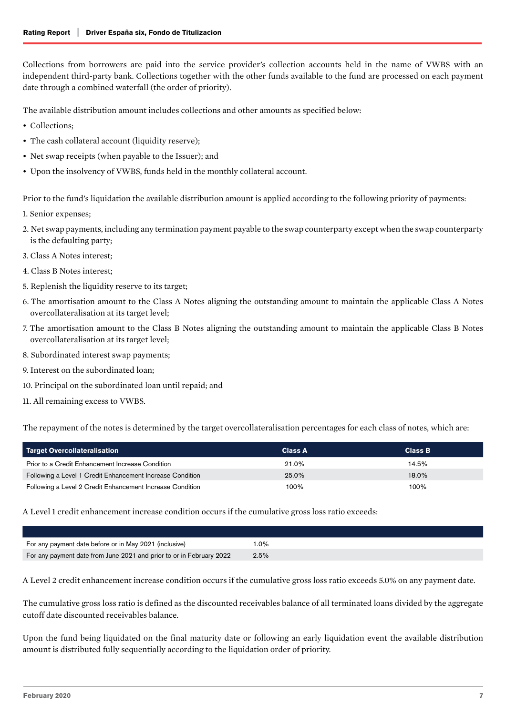Collections from borrowers are paid into the service provider's collection accounts held in the name of VWBS with an independent third-party bank. Collections together with the other funds available to the fund are processed on each payment date through a combined waterfall (the order of priority).

The available distribution amount includes collections and other amounts as specified below:

- Collections;
- The cash collateral account (liquidity reserve);
- Net swap receipts (when payable to the Issuer); and
- Upon the insolvency of VWBS, funds held in the monthly collateral account.

Prior to the fund's liquidation the available distribution amount is applied according to the following priority of payments:

- 1. Senior expenses;
- 2. Net swap payments, including any termination payment payable to the swap counterparty except when the swap counterparty is the defaulting party;
- 3. Class A Notes interest;
- 4. Class B Notes interest;
- 5. Replenish the liquidity reserve to its target;
- 6. The amortisation amount to the Class A Notes aligning the outstanding amount to maintain the applicable Class A Notes overcollateralisation at its target level;
- 7. The amortisation amount to the Class B Notes aligning the outstanding amount to maintain the applicable Class B Notes overcollateralisation at its target level;
- 8. Subordinated interest swap payments;
- 9. Interest on the subordinated loan;
- 10. Principal on the subordinated loan until repaid; and
- 11. All remaining excess to VWBS.

The repayment of the notes is determined by the target overcollateralisation percentages for each class of notes, which are:

| Target Overcollateralisation                              | <b>Class A</b> | <b>Class B</b> |
|-----------------------------------------------------------|----------------|----------------|
| Prior to a Credit Enhancement Increase Condition          | 21.0%          | 14.5%          |
| Following a Level 1 Credit Enhancement Increase Condition | 25.0%          | 18.0%          |
| Following a Level 2 Credit Enhancement Increase Condition | 100%           | 100%           |

A Level 1 credit enhancement increase condition occurs if the cumulative gross loss ratio exceeds:

| For any payment date before or in May 2021 (inclusive)               | $.0\%$ |
|----------------------------------------------------------------------|--------|
| For any payment date from June 2021 and prior to or in February 2022 | 2.5%   |

A Level 2 credit enhancement increase condition occurs if the cumulative gross loss ratio exceeds 5.0% on any payment date.

The cumulative gross loss ratio is defined as the discounted receivables balance of all terminated loans divided by the aggregate cutoff date discounted receivables balance.

Upon the fund being liquidated on the final maturity date or following an early liquidation event the available distribution amount is distributed fully sequentially according to the liquidation order of priority.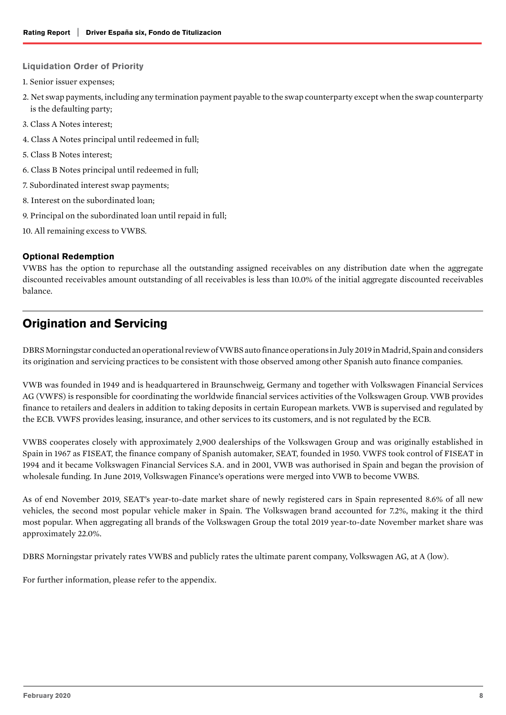#### <span id="page-7-0"></span>Liquidation Order of Priority

- 1. Senior issuer expenses;
- 2. Net swap payments, including any termination payment payable to the swap counterparty except when the swap counterparty is the defaulting party;
- 3. Class A Notes interest;
- 4. Class A Notes principal until redeemed in full;
- 5. Class B Notes interest;
- 6. Class B Notes principal until redeemed in full;
- 7. Subordinated interest swap payments;
- 8. Interest on the subordinated loan;
- 9. Principal on the subordinated loan until repaid in full;
- 10. All remaining excess to VWBS.

## Optional Redemption

VWBS has the option to repurchase all the outstanding assigned receivables on any distribution date when the aggregate discounted receivables amount outstanding of all receivables is less than 10.0% of the initial aggregate discounted receivables balance.

# Origination and Servicing

DBRS Morningstar conducted an operational review of VWBS auto finance operations in July 2019 in Madrid, Spain and considers its origination and servicing practices to be consistent with those observed among other Spanish auto finance companies.

VWB was founded in 1949 and is headquartered in Braunschweig, Germany and together with Volkswagen Financial Services AG (VWFS) is responsible for coordinating the worldwide financial services activities of the Volkswagen Group. VWB provides finance to retailers and dealers in addition to taking deposits in certain European markets. VWB is supervised and regulated by the ECB. VWFS provides leasing, insurance, and other services to its customers, and is not regulated by the ECB.

VWBS cooperates closely with approximately 2,900 dealerships of the Volkswagen Group and was originally established in Spain in 1967 as FISEAT, the finance company of Spanish automaker, SEAT, founded in 1950. VWFS took control of FISEAT in 1994 and it became Volkswagen Financial Services S.A. and in 2001, VWB was authorised in Spain and began the provision of wholesale funding. In June 2019, Volkswagen Finance's operations were merged into VWB to become VWBS.

As of end November 2019, SEAT's year-to-date market share of newly registered cars in Spain represented 8.6% of all new vehicles, the second most popular vehicle maker in Spain. The Volkswagen brand accounted for 7.2%, making it the third most popular. When aggregating all brands of the Volkswagen Group the total 2019 year-to-date November market share was approximately 22.0%.

DBRS Morningstar privately rates VWBS and publicly rates the ultimate parent company, Volkswagen AG, at A (low).

For further information, please refer to the appendix.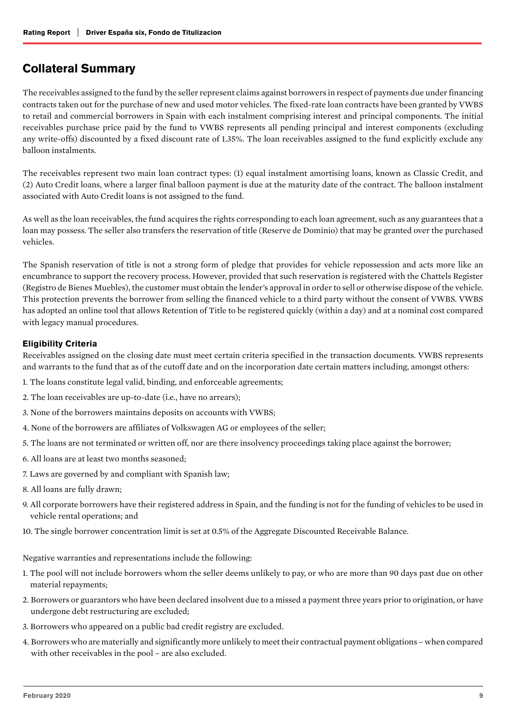# <span id="page-8-0"></span>Collateral Summary

The receivables assigned to the fund by the seller represent claims against borrowers in respect of payments due under financing contracts taken out for the purchase of new and used motor vehicles. The fixed-rate loan contracts have been granted by VWBS to retail and commercial borrowers in Spain with each instalment comprising interest and principal components. The initial receivables purchase price paid by the fund to VWBS represents all pending principal and interest components (excluding any write-offs) discounted by a fixed discount rate of 1.35%. The loan receivables assigned to the fund explicitly exclude any balloon instalments.

The receivables represent two main loan contract types: (1) equal instalment amortising loans, known as Classic Credit, and (2) Auto Credit loans, where a larger final balloon payment is due at the maturity date of the contract. The balloon instalment associated with Auto Credit loans is not assigned to the fund.

As well as the loan receivables, the fund acquires the rights corresponding to each loan agreement, such as any guarantees that a loan may possess. The seller also transfers the reservation of title (Reserve de Dominio) that may be granted over the purchased vehicles.

The Spanish reservation of title is not a strong form of pledge that provides for vehicle repossession and acts more like an encumbrance to support the recovery process. However, provided that such reservation is registered with the Chattels Register (Registro de Bienes Muebles), the customer must obtain the lender's approval in order to sell or otherwise dispose of the vehicle. This protection prevents the borrower from selling the financed vehicle to a third party without the consent of VWBS. VWBS has adopted an online tool that allows Retention of Title to be registered quickly (within a day) and at a nominal cost compared with legacy manual procedures.

## Eligibility Criteria

Receivables assigned on the closing date must meet certain criteria specified in the transaction documents. VWBS represents and warrants to the fund that as of the cutoff date and on the incorporation date certain matters including, amongst others:

- 1. The loans constitute legal valid, binding, and enforceable agreements;
- 2. The loan receivables are up-to-date (i.e., have no arrears);
- 3. None of the borrowers maintains deposits on accounts with VWBS;
- 4. None of the borrowers are affiliates of Volkswagen AG or employees of the seller;
- 5. The loans are not terminated or written off, nor are there insolvency proceedings taking place against the borrower;
- 6. All loans are at least two months seasoned;
- 7. Laws are governed by and compliant with Spanish law;
- 8. All loans are fully drawn;
- 9. All corporate borrowers have their registered address in Spain, and the funding is not for the funding of vehicles to be used in vehicle rental operations; and
- 10. The single borrower concentration limit is set at 0.5% of the Aggregate Discounted Receivable Balance.

Negative warranties and representations include the following:

- 1. The pool will not include borrowers whom the seller deems unlikely to pay, or who are more than 90 days past due on other material repayments;
- 2. Borrowers or guarantors who have been declared insolvent due to a missed a payment three years prior to origination, or have undergone debt restructuring are excluded;
- 3. Borrowers who appeared on a public bad credit registry are excluded.
- 4. Borrowers who are materially and significantly more unlikely to meet their contractual payment obligations when compared with other receivables in the pool – are also excluded.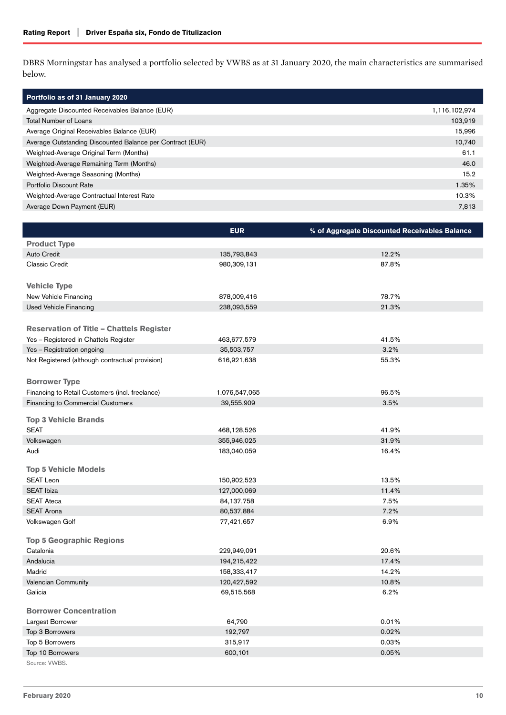DBRS Morningstar has analysed a portfolio selected by VWBS as at 31 January 2020, the main characteristics are summarised below.

| Portfolio as of 31 January 2020                           |               |
|-----------------------------------------------------------|---------------|
| Aggregate Discounted Receivables Balance (EUR)            | 1,116,102,974 |
| <b>Total Number of Loans</b>                              | 103,919       |
| Average Original Receivables Balance (EUR)                | 15,996        |
| Average Outstanding Discounted Balance per Contract (EUR) | 10,740        |
| Weighted-Average Original Term (Months)                   | 61.1          |
| Weighted-Average Remaining Term (Months)                  | 46.0          |
| Weighted-Average Seasoning (Months)                       | 15.2          |
| Portfolio Discount Rate                                   | 1.35%         |
| Weighted-Average Contractual Interest Rate                | 10.3%         |
| Average Down Payment (EUR)                                | 7,813         |

|                                                 | <b>EUR</b>    | % of Aggregate Discounted Receivables Balance |
|-------------------------------------------------|---------------|-----------------------------------------------|
| <b>Product Type</b>                             |               |                                               |
| <b>Auto Credit</b>                              | 135,793,843   | 12.2%                                         |
| Classic Credit                                  | 980,309,131   | 87.8%                                         |
| <b>Vehicle Type</b>                             |               |                                               |
| New Vehicle Financing                           | 878,009,416   | 78.7%                                         |
| <b>Used Vehicle Financing</b>                   | 238,093,559   | 21.3%                                         |
|                                                 |               |                                               |
| <b>Reservation of Title – Chattels Register</b> |               |                                               |
| Yes - Registered in Chattels Register           | 463,677,579   | 41.5%                                         |
| Yes - Registration ongoing                      | 35,503,757    | 3.2%                                          |
| Not Registered (although contractual provision) | 616,921,638   | 55.3%                                         |
|                                                 |               |                                               |
| <b>Borrower Type</b>                            |               |                                               |
| Financing to Retail Customers (incl. freelance) | 1,076,547,065 | 96.5%                                         |
| Financing to Commercial Customers               | 39,555,909    | 3.5%                                          |
|                                                 |               |                                               |
| <b>Top 3 Vehicle Brands</b>                     |               |                                               |
| <b>SEAT</b>                                     | 468,128,526   | 41.9%                                         |
| Volkswagen                                      | 355,946,025   | 31.9%                                         |
| Audi                                            | 183,040,059   | 16.4%                                         |
|                                                 |               |                                               |
| <b>Top 5 Vehicle Models</b>                     |               |                                               |
| <b>SEAT Leon</b>                                | 150,902,523   | 13.5%                                         |
| <b>SEAT Ibiza</b>                               | 127,000,069   | 11.4%                                         |
| <b>SEAT Ateca</b>                               | 84,137,758    | 7.5%                                          |
| <b>SEAT Arona</b>                               | 80,537,884    | 7.2%                                          |
| Volkswagen Golf                                 | 77,421,657    | 6.9%                                          |
| <b>Top 5 Geographic Regions</b>                 |               |                                               |
| Catalonia                                       | 229,949,091   | 20.6%                                         |
| Andalucia                                       | 194,215,422   | 17.4%                                         |
| Madrid                                          | 158,333,417   | 14.2%                                         |
| Valencian Community                             | 120,427,592   | 10.8%                                         |
| Galicia                                         | 69,515,568    | 6.2%                                          |
|                                                 |               |                                               |
| <b>Borrower Concentration</b>                   |               |                                               |
| Largest Borrower                                | 64,790        | 0.01%                                         |
| Top 3 Borrowers                                 | 192,797       | 0.02%                                         |
| Top 5 Borrowers                                 | 315,917       | 0.03%                                         |
| Top 10 Borrowers                                | 600,101       | 0.05%                                         |
| Source: VWBS.                                   |               |                                               |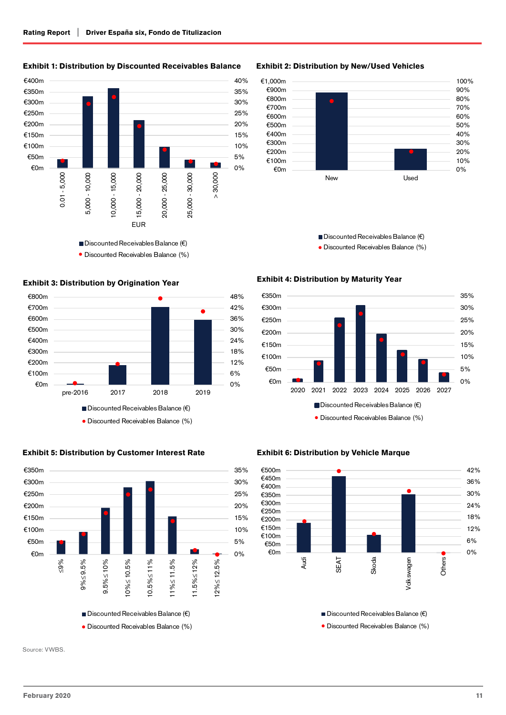Exhibit 1: Distribution by Discounted Receivables Balance



Discounted Receivables Balance (%)

## Exhibit 3: Distribution by Origination Year



# Exhibit 5: Distribution by Customer Interest Rate



Exhibit 2: Distribution by New/Used Vehicles



Discounted Receivables Balance (€) Discounted Receivables Balance (%)

#### Exhibit 4: Distribution by Maturity Year



#### Exhibit 6: Distribution by Vehicle Marque



■ Discounted Receivables Balance (€)

Discounted Receivables Balance (%)

Source: VWBS.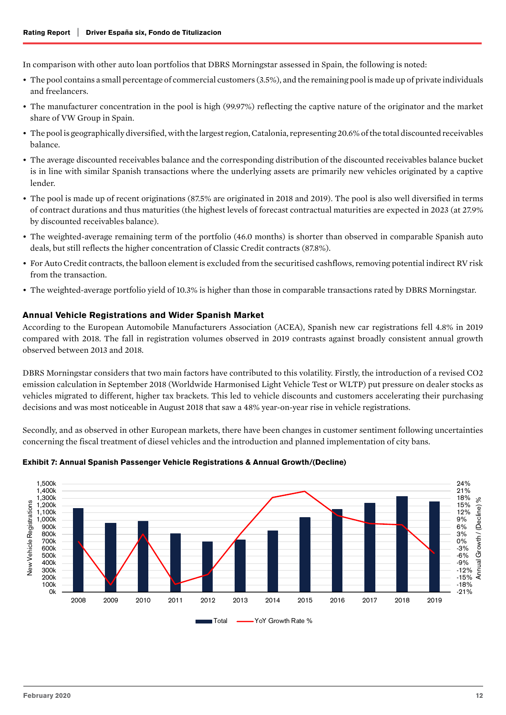In comparison with other auto loan portfolios that DBRS Morningstar assessed in Spain, the following is noted:

- The pool contains a small percentage of commercial customers (3.5%), and the remaining pool is made up of private individuals and freelancers.
- The manufacturer concentration in the pool is high (99.97%) reflecting the captive nature of the originator and the market share of VW Group in Spain.
- The pool is geographically diversified, with the largest region, Catalonia, representing 20.6% of the total discounted receivables balance.
- The average discounted receivables balance and the corresponding distribution of the discounted receivables balance bucket is in line with similar Spanish transactions where the underlying assets are primarily new vehicles originated by a captive lender.
- The pool is made up of recent originations (87.5% are originated in 2018 and 2019). The pool is also well diversified in terms of contract durations and thus maturities (the highest levels of forecast contractual maturities are expected in 2023 (at 27.9% by discounted receivables balance).
- The weighted-average remaining term of the portfolio (46.0 months) is shorter than observed in comparable Spanish auto deals, but still reflects the higher concentration of Classic Credit contracts (87.8%).
- For Auto Credit contracts, the balloon element is excluded from the securitised cashflows, removing potential indirect RV risk from the transaction.
- The weighted-average portfolio yield of 10.3% is higher than those in comparable transactions rated by DBRS Morningstar.

#### Annual Vehicle Registrations and Wider Spanish Market

According to the European Automobile Manufacturers Association (ACEA), Spanish new car registrations fell 4.8% in 2019 compared with 2018. The fall in registration volumes observed in 2019 contrasts against broadly consistent annual growth observed between 2013 and 2018.

DBRS Morningstar considers that two main factors have contributed to this volatility. Firstly, the introduction of a revised CO2 emission calculation in September 2018 (Worldwide Harmonised Light Vehicle Test or WLTP) put pressure on dealer stocks as vehicles migrated to different, higher tax brackets. This led to vehicle discounts and customers accelerating their purchasing decisions and was most noticeable in August 2018 that saw a 48% year-on-year rise in vehicle registrations.

Secondly, and as observed in other European markets, there have been changes in customer sentiment following uncertainties concerning the fiscal treatment of diesel vehicles and the introduction and planned implementation of city bans.



#### Exhibit 7: Annual Spanish Passenger Vehicle Registrations & Annual Growth/(Decline)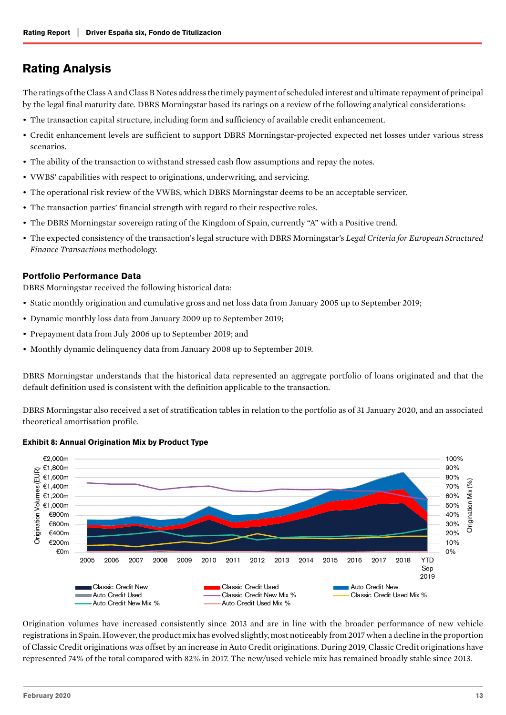# <span id="page-12-0"></span>Rating Analysis

The ratings of the Class A and Class B Notes address the timely payment of scheduled interest and ultimate repayment of principal by the legal final maturity date. DBRS Morningstar based its ratings on a review of the following analytical considerations:

- The transaction capital structure, including form and sufficiency of available credit enhancement.
- Credit enhancement levels are sufficient to support DBRS Morningstar-projected expected net losses under various stress scenarios.
- The ability of the transaction to withstand stressed cash flow assumptions and repay the notes.
- VWBS' capabilities with respect to originations, underwriting, and servicing.
- The operational risk review of the VWBS, which DBRS Morningstar deems to be an acceptable servicer.
- The transaction parties' financial strength with regard to their respective roles.
- The DBRS Morningstar sovereign rating of the Kingdom of Spain, currently "A" with a Positive trend.
- The expected consistency of the transaction's legal structure with DBRS Morningstar's *Legal Criteria for European Structured Finance Transactions* methodology.

## Portfolio Performance Data

DBRS Morningstar received the following historical data:

- Static monthly origination and cumulative gross and net loss data from January 2005 up to September 2019;
- Dynamic monthly loss data from January 2009 up to September 2019;
- Prepayment data from July 2006 up to September 2019; and
- Monthly dynamic delinquency data from January 2008 up to September 2019.

DBRS Morningstar understands that the historical data represented an aggregate portfolio of loans originated and that the default definition used is consistent with the definition applicable to the transaction.

DBRS Morningstar also received a set of stratification tables in relation to the portfolio as of 31 January 2020, and an associated theoretical amortisation profile.



Exhibit 8: Annual Origination Mix by Product Type

Origination volumes have increased consistently since 2013 and are in line with the broader performance of new vehicle registrations in Spain. However, the product mix has evolved slightly, most noticeably from 2017 when a decline in the proportion of Classic Credit originations was offset by an increase in Auto Credit originations. During 2019, Classic Credit originations have represented 74% of the total compared with 82% in 2017. The new/used vehicle mix has remained broadly stable since 2013.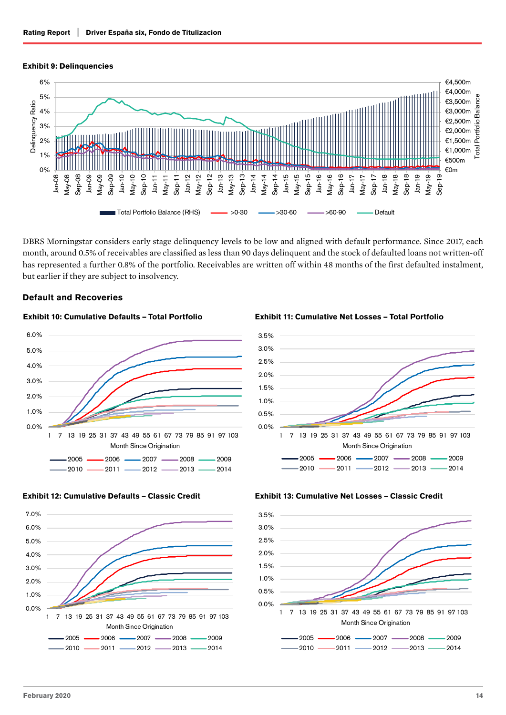## Exhibit 9: Delinquencies



DBRS Morningstar considers early stage delinquency levels to be low and aligned with default performance. Since 2017, each month, around 0.5% of receivables are classified as less than 90 days delinquent and the stock of defaulted loans not written-off has represented a further 0.8% of the portfolio. Receivables are written off within 48 months of the first defaulted instalment, but earlier if they are subject to insolvency.

> 3.0% 3.5%

## Default and Recoveries



# Exhibit 10: Cumulative Defaults – Total Portfolio







#### Exhibit 13: Cumulative Net Losses – Classic Credit



## Exhibit 11: Cumulative Net Losses – Total Portfolio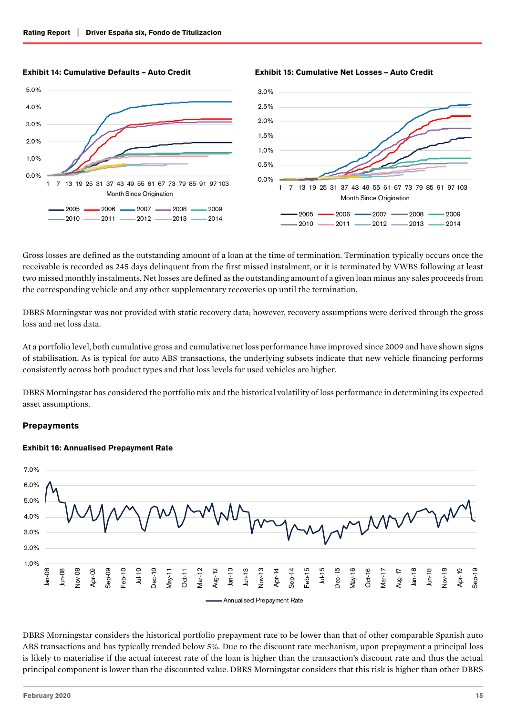



#### Exhibit 14: Cumulative Defaults – Auto Credit

Exhibit 15: Cumulative Net Losses – Auto Credit

Gross losses are defined as the outstanding amount of a loan at the time of termination. Termination typically occurs once the receivable is recorded as 245 days delinquent from the first missed instalment, or it is terminated by VWBS following at least two missed monthly instalments. Net losses are defined as the outstanding amount of a given loan minus any sales proceeds from the corresponding vehicle and any other supplementary recoveries up until the termination.

DBRS Morningstar was not provided with static recovery data; however, recovery assumptions were derived through the gross loss and net loss data.

At a portfolio level, both cumulative gross and cumulative net loss performance have improved since 2009 and have shown signs of stabilisation. As is typical for auto ABS transactions, the underlying subsets indicate that new vehicle financing performs consistently across both product types and that loss levels for used vehicles are higher.

DBRS Morningstar has considered the portfolio mix and the historical volatility of loss performance in determining its expected asset assumptions.

## **Prepayments**

#### Exhibit 16: Annualised Prepayment Rate



DBRS Morningstar considers the historical portfolio prepayment rate to be lower than that of other comparable Spanish auto ABS transactions and has typically trended below 5%. Due to the discount rate mechanism, upon prepayment a principal loss is likely to materialise if the actual interest rate of the loan is higher than the transaction's discount rate and thus the actual principal component is lower than the discounted value. DBRS Morningstar considers that this risk is higher than other DBRS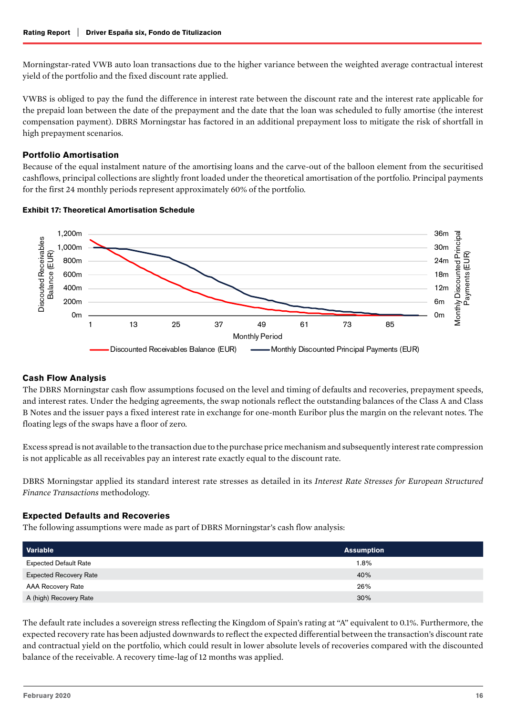Morningstar-rated VWB auto loan transactions due to the higher variance between the weighted average contractual interest yield of the portfolio and the fixed discount rate applied.

VWBS is obliged to pay the fund the difference in interest rate between the discount rate and the interest rate applicable for the prepaid loan between the date of the prepayment and the date that the loan was scheduled to fully amortise (the interest compensation payment). DBRS Morningstar has factored in an additional prepayment loss to mitigate the risk of shortfall in high prepayment scenarios.

## Portfolio Amortisation

Because of the equal instalment nature of the amortising loans and the carve-out of the balloon element from the securitised cashflows, principal collections are slightly front loaded under the theoretical amortisation of the portfolio. Principal payments for the first 24 monthly periods represent approximately 60% of the portfolio.



#### Exhibit 17: Theoretical Amortisation Schedule

## Cash Flow Analysis

The DBRS Morningstar cash flow assumptions focused on the level and timing of defaults and recoveries, prepayment speeds, and interest rates. Under the hedging agreements, the swap notionals reflect the outstanding balances of the Class A and Class B Notes and the issuer pays a fixed interest rate in exchange for one-month Euribor plus the margin on the relevant notes. The floating legs of the swaps have a floor of zero.

Excess spread is not available to the transaction due to the purchase price mechanism and subsequently interest rate compression is not applicable as all receivables pay an interest rate exactly equal to the discount rate.

DBRS Morningstar applied its standard interest rate stresses as detailed in its *Interest Rate Stresses for European Structured Finance Transactions* methodology.

## Expected Defaults and Recoveries

The following assumptions were made as part of DBRS Morningstar's cash flow analysis:

| Variable                      | <b>Assumption</b> |
|-------------------------------|-------------------|
| <b>Expected Default Rate</b>  | 1.8%              |
| <b>Expected Recovery Rate</b> | 40%               |
| AAA Recovery Rate             | 26%               |
| A (high) Recovery Rate        | 30%               |

The default rate includes a sovereign stress reflecting the Kingdom of Spain's rating at "A" equivalent to 0.1%. Furthermore, the expected recovery rate has been adjusted downwards to reflect the expected differential between the transaction's discount rate and contractual yield on the portfolio, which could result in lower absolute levels of recoveries compared with the discounted balance of the receivable. A recovery time-lag of 12 months was applied.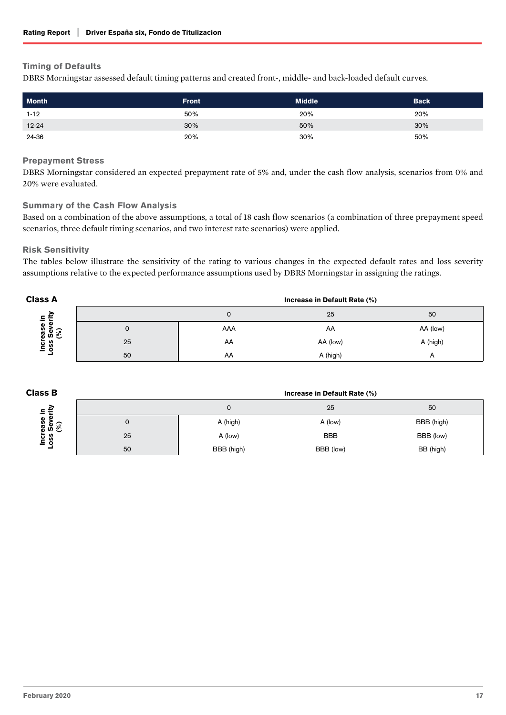## Timing of Defaults

DBRS Morningstar assessed default timing patterns and created front-, middle- and back-loaded default curves.

| <b>Month</b> | <b>Front</b> | <b>Middle</b> | <b>Back</b> |
|--------------|--------------|---------------|-------------|
| $1 - 12$     | 50%          | 20%           | 20%         |
| $12 - 24$    | 30%          | 50%           | 30%         |
| 24-36        | 20%          | 30%           | 50%         |

#### Prepayment Stress

DBRS Morningstar considered an expected prepayment rate of 5% and, under the cash flow analysis, scenarios from 0% and 20% were evaluated.

## Summary of the Cash Flow Analysis

Based on a combination of the above assumptions, a total of 18 cash flow scenarios (a combination of three prepayment speed scenarios, three default timing scenarios, and two interest rate scenarios) were applied.

## Risk Sensitivity

The tables below illustrate the sensitivity of the rating to various changes in the expected default rates and loss severity assumptions relative to the expected performance assumptions used by DBRS Morningstar in assigning the ratings.

| <b>Class A</b>                  |    | Increase in Default Rate (%) |          |            |  |
|---------------------------------|----|------------------------------|----------|------------|--|
| 도 분                             |    | U                            | 25       | 50         |  |
| န္တ<br>မ်ိဳး $\mathfrak F$<br>ω | U  | AAA                          | AA       | AA (low)   |  |
| ၑႍ<br>ပ္တ<br>ē                  | 25 | AA                           | AA (low) | A (high)   |  |
|                                 | 50 | AA                           | A (high) | $\sqrt{ }$ |  |

| <b>Class B</b>                  |    | Increase in Default Rate (%) |            |            |
|---------------------------------|----|------------------------------|------------|------------|
| 호호                              |    |                              | 25         | 50         |
| မ္တ<br>မ်ိဳး $\mathcal{E}$<br>ത | υ  | A (high)                     | A (low)    | BBB (high) |
| ω<br>ပ္တ<br>ō<br>Ξ              | 25 | A (low)                      | <b>BBB</b> | BBB (low)  |
|                                 | 50 | BBB (high)                   | BBB (low)  | BB (high)  |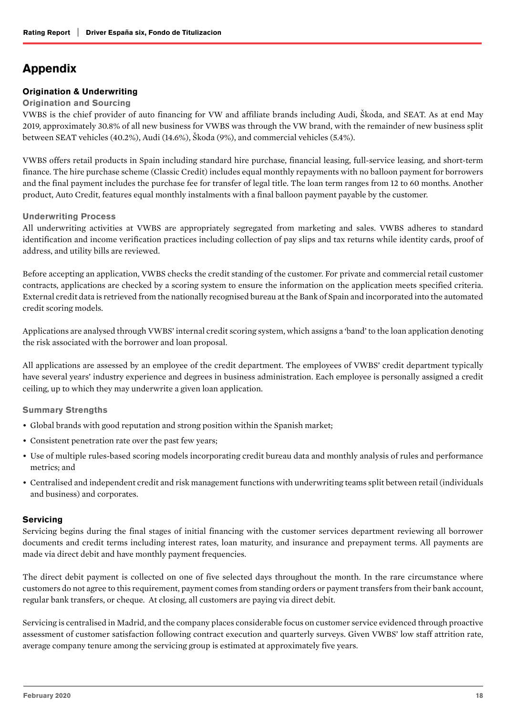# <span id="page-17-0"></span>Appendix

## Origination & Underwriting

#### Origination and Sourcing

VWBS is the chief provider of auto financing for VW and affiliate brands including Audi, Škoda, and SEAT. As at end May 2019, approximately 30.8% of all new business for VWBS was through the VW brand, with the remainder of new business split between SEAT vehicles (40.2%), Audi (14.6%), Škoda (9%), and commercial vehicles (5.4%).

VWBS offers retail products in Spain including standard hire purchase, financial leasing, full-service leasing, and short-term finance. The hire purchase scheme (Classic Credit) includes equal monthly repayments with no balloon payment for borrowers and the final payment includes the purchase fee for transfer of legal title. The loan term ranges from 12 to 60 months. Another product, Auto Credit, features equal monthly instalments with a final balloon payment payable by the customer.

#### Underwriting Process

All underwriting activities at VWBS are appropriately segregated from marketing and sales. VWBS adheres to standard identification and income verification practices including collection of pay slips and tax returns while identity cards, proof of address, and utility bills are reviewed.

Before accepting an application, VWBS checks the credit standing of the customer. For private and commercial retail customer contracts, applications are checked by a scoring system to ensure the information on the application meets specified criteria. External credit data is retrieved from the nationally recognised bureau at the Bank of Spain and incorporated into the automated credit scoring models.

Applications are analysed through VWBS' internal credit scoring system, which assigns a 'band' to the loan application denoting the risk associated with the borrower and loan proposal.

All applications are assessed by an employee of the credit department. The employees of VWBS' credit department typically have several years' industry experience and degrees in business administration. Each employee is personally assigned a credit ceiling, up to which they may underwrite a given loan application.

## Summary Strengths

- Global brands with good reputation and strong position within the Spanish market;
- Consistent penetration rate over the past few years;
- Use of multiple rules-based scoring models incorporating credit bureau data and monthly analysis of rules and performance metrics; and
- Centralised and independent credit and risk management functions with underwriting teams split between retail (individuals and business) and corporates.

## **Servicing**

Servicing begins during the final stages of initial financing with the customer services department reviewing all borrower documents and credit terms including interest rates, loan maturity, and insurance and prepayment terms. All payments are made via direct debit and have monthly payment frequencies.

The direct debit payment is collected on one of five selected days throughout the month. In the rare circumstance where customers do not agree to this requirement, payment comes from standing orders or payment transfers from their bank account, regular bank transfers, or cheque. At closing, all customers are paying via direct debit.

Servicing is centralised in Madrid, and the company places considerable focus on customer service evidenced through proactive assessment of customer satisfaction following contract execution and quarterly surveys. Given VWBS' low staff attrition rate, average company tenure among the servicing group is estimated at approximately five years.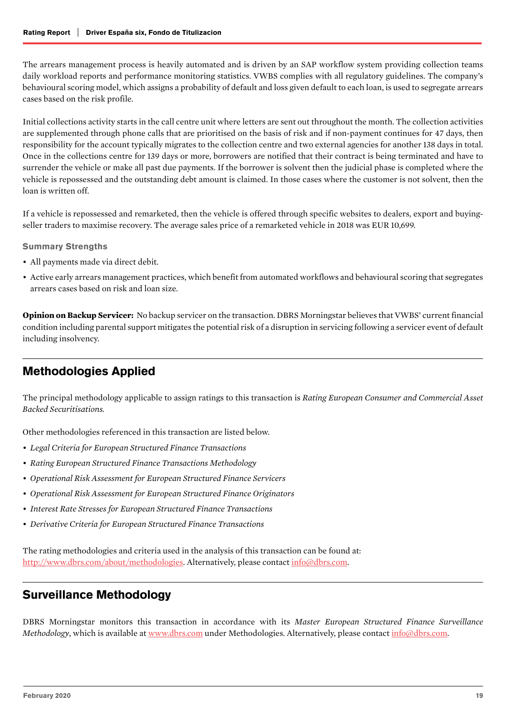<span id="page-18-0"></span>The arrears management process is heavily automated and is driven by an SAP workflow system providing collection teams daily workload reports and performance monitoring statistics. VWBS complies with all regulatory guidelines. The company's behavioural scoring model, which assigns a probability of default and loss given default to each loan, is used to segregate arrears cases based on the risk profile.

Initial collections activity starts in the call centre unit where letters are sent out throughout the month. The collection activities are supplemented through phone calls that are prioritised on the basis of risk and if non-payment continues for 47 days, then responsibility for the account typically migrates to the collection centre and two external agencies for another 138 days in total. Once in the collections centre for 139 days or more, borrowers are notified that their contract is being terminated and have to surrender the vehicle or make all past due payments. If the borrower is solvent then the judicial phase is completed where the vehicle is repossessed and the outstanding debt amount is claimed. In those cases where the customer is not solvent, then the loan is written off.

If a vehicle is repossessed and remarketed, then the vehicle is offered through specific websites to dealers, export and buyingseller traders to maximise recovery. The average sales price of a remarketed vehicle in 2018 was EUR 10,699.

#### Summary Strengths

- All payments made via direct debit.
- Active early arrears management practices, which benefit from automated workflows and behavioural scoring that segregates arrears cases based on risk and loan size.

**Opinion on Backup Servicer:** No backup servicer on the transaction. DBRS Morningstar believes that VWBS' current financial condition including parental support mitigates the potential risk of a disruption in servicing following a servicer event of default including insolvency.

# Methodologies Applied

The principal methodology applicable to assign ratings to this transaction is *Rating European Consumer and Commercial Asset Backed Securitisations.* 

Other methodologies referenced in this transaction are listed below.

- *• Legal Criteria for European Structured Finance Transactions*
- *• Rating European Structured Finance Transactions Methodology*
- *• Operational Risk Assessment for European Structured Finance Servicers*
- *• Operational Risk Assessment for European Structured Finance Originators*
- *• Interest Rate Stresses for European Structured Finance Transactions*
- *• Derivative Criteria for European Structured Finance Transactions*

The rating methodologies and criteria used in the analysis of this transaction can be found at: <http://www.dbrs.com/about/methodologies>. Alternatively, please contact [info@dbrs.com.](mailto:mailto:info%40dbrs.com?subject=)

# Surveillance Methodology

DBRS Morningstar monitors this transaction in accordance with its *Master European Structured Finance Surveillance Methodology*, which is available at [www.dbrs.com](http://www.dbrs.com) under Methodologies. Alternatively, please contact [info@dbrs.com](mailto:mailto:info%40dbrs.com?subject=).